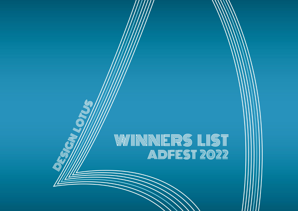# WINNNERS LIST<br>Adfest 2022

(Ur

**IN ALL OF THE UNITED** 

W W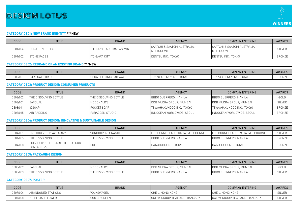

#### **CATEGORY DE01: NEW BRAND IDENTITY \*\*\*NEW**

| CODE     | <b>TITLE</b>       | <b>BRAND</b>                     | <b>AGENCY</b>                             | <b>COMPANY ENTERING</b>                              | <b>AWARDS</b> |
|----------|--------------------|----------------------------------|-------------------------------------------|------------------------------------------------------|---------------|
| DE01/004 | DONATION DOLLAR    | <b>THE ROYAL AUSTRALIAN MINT</b> | SAATCHI & SAATCHI AUSTRALIA.<br>MELBOURNE | <b>SAATCHI &amp; SAATCHI AUSTRALIA.</b><br>MELBOURNE | <b>SILVER</b> |
| DE01/002 | <b>STONE FACES</b> | <b>ITOIGAWA CITY</b>             | DENTSU INC., TOKYO                        | DENTSU INC., TOKYO                                   | <b>BRONZE</b> |

# **CATEGORY DE02: REBRAND OF AN EXISTING BRAND \*\*\*NEW**

| CODE     | <b>TITLE</b>           | BRAND        | <b>AGENCY</b>                   | <b>COMPANY ENTERING</b>   | <b>AWARDS</b> |
|----------|------------------------|--------------|---------------------------------|---------------------------|---------------|
| DE02/001 | ' GATE BRIDGE<br>TORII | RAILWAY<br>. | <b>TOKYO</b><br>INC<br>J AGENUY | гокүо<br>TOKYU AGENCY INC | <b>BRONZE</b> |

#### **CATEGORY DE03: PRODUCT DESIGN: CONSUMER PRODUCTS**

| CODE     | <b>TITLE</b>                 | <b>BRAND</b>                  | <b>AGENCY</b>                  | <b>COMPANY ENTERING</b>   | <b>AWARDS</b> |
|----------|------------------------------|-------------------------------|--------------------------------|---------------------------|---------------|
| DE03/002 | <b>THE DISSOLVING BOTTLE</b> | <b>ITHE DISSOLVING BOTTLE</b> | BBDO GUERRERO, MANILA          | BBDO GUERRERO, MANILA     | GOLD          |
| DE03/001 | EATQUAL                      | MCDONALD'S                    | <b>DDB MUDRA GROUP, MUMBAL</b> | DDB MUDRA GROUP, MUMBAI   | <b>SILVER</b> |
| DE03/011 | 30S0AP                       | POCKET SOAP                   | TBWA\HAKUHODO INC., TOKYO      | TBWA\HAKUHODO INC., TOKYO | BRONZE        |
| DE03/015 | AIR PADDING                  | <b>PARACOSM STUDIO</b>        | INNOCEAN WORLDWIDE, SEOUL      | INNOCEAN WORLDWIDE, SEOUL | BRONZE        |

# **CATEGORY DE04: PRODUCT DESIGN: INNOVATIVE & SUSTAINABLE DESIGN**

| CODE     | <b>TITLE</b>                                            | <b>BRAND</b>                  | <b>AGENCY</b>                    | COMPANY ENTERING                 | <b>AWARDS</b> |
|----------|---------------------------------------------------------|-------------------------------|----------------------------------|----------------------------------|---------------|
| DE04/001 | ONE HOUSE TO SAVE MANY                                  | <b>I</b> SUNCORP INSURANCE    | LEO BURNETT AUSTRALIA, MELBOURNE | LEO BURNETT AUSTRALIA, MELBOURNE | <b>SILVER</b> |
| DE04/005 | THE DISSOLVING BOTTLE                                   | <b>ITHE DISSOLVING BOTTLE</b> | BBDO GUERRERO, MANILA            | BBDO GUERRERO, MANILA            | <b>BRONZE</b> |
| DE04/008 | EDISH: GIVING ETERNAL LIFE TO FOOD<br><b>CONTAINERS</b> | <b>EDISH</b>                  | HAKUHODO INC., TOKYO             | HAKUHODO INC., TOKYO             | <b>BRONZE</b> |

# **CATEGORY DE05: PACKAGING DESIGN**

| CODE     | <b>TITLE</b>      | <b>BRAND</b>        | <b>AGENCY</b>                  | <b>COMPANY ENTERING</b>        | <b>AWARDS</b> |
|----------|-------------------|---------------------|--------------------------------|--------------------------------|---------------|
| DE05/002 | <b>EATQUAL</b>    | MCDONALD'S          | <b>DDB MUDRA GROUP, MUMBAL</b> | <b>DDB MUDRA GROUP, MUMBAL</b> | GOLD          |
| DE05/003 | DISSOLVING BOTTLE | E DISSOLVING BOTTLE | BBDO GUERRERO, MANILA          | BBDO GUERRERO, MANILA          | SILVER        |

# **CATEGORY DE07: POSTER**

| CODE     | <b>TITLE</b>       | <b>BRAND</b> | <b>AGENCY</b>                  | <b>COMPANY ENTERING</b>        | <b>AWARDS</b> |
|----------|--------------------|--------------|--------------------------------|--------------------------------|---------------|
| DE07/004 | ABANDONED STATIONS | VOLKSWAGEN   | CHEIL, HONG KONG               | CHEIL, HONG KONG               | SILVER        |
| DE07/008 | NO PESTS ALLOWED   | GOO GO GREEN | OGILVY GROUP THAILAND, BANGKOK | OGILVY GROUP THAILAND, BANGKOK | SILVER        |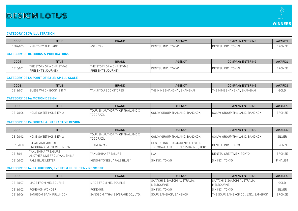# **DESIGIN LOTUS**



#### **CATEGORY DE09: ILLUSTRATION**

| CODE     | <b>TITLE</b>                                     | <b>BRAND</b> | <b>AGENCY</b>                 | <b>COMPANY ENTERING</b>                       | <b>AWARDS</b> |
|----------|--------------------------------------------------|--------------|-------------------------------|-----------------------------------------------|---------------|
| DE09/005 | INIG <sub>1</sub><br>LAKE<br>THE<br>つり<br>$\sim$ | SAHIYAKI     | <b>TOKYO</b><br>IDLINTJU IINU | <b>TOKYO</b><br>$1N + C$<br>I DEI VII JU TINU | <b>BRONZE</b> |

#### **CATEGORY DE10: BOOKS & PUBLICATIONS**

| CODE     | <b>TITLE</b>                     | <b>BRAND</b>                  | <b>AGENCY</b>                           | <b>COMPANY ENTERING</b> | <b>AWARDS</b> |
|----------|----------------------------------|-------------------------------|-----------------------------------------|-------------------------|---------------|
|          | <b>ITHE STORY OF A CHRISTMAS</b> | E STORY OF A CHRISTMAS<br>THE | <b>TOKYO</b><br>DENTSU INC <sup>-</sup> |                         | <b>BRONZI</b> |
| DE10/001 | JOURNEY<br><b>PRESENT'S</b>      | JOURNEY<br>SENT :             |                                         | DENTSU INC., TOKYO      |               |

# **CATEGORY DE12: POINT OF SALE: SMALL SCALE**

| CODE     | <b>TITLE</b>                                      | <b>BRAND</b>   | <b>AGENCY</b>                            | <b>COMPANY ENTERING</b>       | <b>AWARDS</b> |
|----------|---------------------------------------------------|----------------|------------------------------------------|-------------------------------|---------------|
| DE12/001 | C <i>WI</i><br>. WHICH BOOK IS<br>ししヒコ<br>ا ا ب ا | KSTORES<br>YAI | SHANGHA<br><b>NINE</b><br><b>SHANGHA</b> | SHANGHAI<br>SHANGHAI.<br>'INE | GOLD          |

# **CATEGORY DE14: MOTION DESIGN**

| CODE     | <b>TITLE</b>                 | <b>BRAND</b>                                        | <b>AGENCY</b>                  | <b>COMPANY ENTERING</b>        | <b>AWARDS</b> |
|----------|------------------------------|-----------------------------------------------------|--------------------------------|--------------------------------|---------------|
| DE14/006 | <b>HOME SWEET HOME EP. 2</b> | TOURISM AUTHORITY OF THAILAND X<br><b>VGGDRAZIL</b> | OGILVY GROUP THAILAND, BANGKOK | OGILVY GROUP THAILAND, BANGKOK | <b>BRONZE</b> |

#### **CATEGORY DE15: DIGITAL & INTERACTIVE DESIGN**

| <b>CODE</b> | TITLE                              | <b>BRAND</b>                                 | <b>AGENCY</b>                        | <b>COMPANY ENTERING</b>        | <b>AWARDS</b>   |
|-------------|------------------------------------|----------------------------------------------|--------------------------------------|--------------------------------|-----------------|
| DE15/012    | HOME SWEET HOME EP. 2              | TOURISM AUTHORITY OF THAILAND X<br>YGGDRAZIL | OGILVY GROUP THAILAND, BANGKOK       | OGILVY GROUP THAILAND, BANGKOK | <b>SILVER</b>   |
|             | TOKYO 2020 VIRTUAL                 | <b>TEAM JAPAN</b>                            | DENTSU INC., TOKYO/DENTSU LIVE INC., | DENTSU INC., TOKYO             | BRONZE          |
|             | DE15/008<br>ENCOURAGEMENT CEREMONY |                                              | TOKYO/WATANABEJUNPEISHA INC., TOKYO  |                                |                 |
|             | YAKUSHIMA TREASURE                 | IYAKUSHIMA TREASURE                          | N/A                                  | DENTSU CREATIVE X, TOKYO       | <b>BRONZE</b>   |
| DE15/011    | ANOTHER LIVE FROM YAKUSHIMA        |                                              |                                      |                                |                 |
| DE15/003    | <b>PALE BLUE LETTER</b>            | KENSHI YONEZU "PALE BLUE"                    | SIX INC., TOKYO                      | SIX INC., TOKYO                | <b>FINALIST</b> |

#### **CATEGORY DE16: EXHIBITIONS, EVENTS & PUBLIC ENVIRONMENT**

| CODE     | <b>TITLE</b>           | <b>BRAND</b>                      | <b>AGENCY</b>                                        | <b>COMPANY ENTERING</b>                    | AWARDS        |
|----------|------------------------|-----------------------------------|------------------------------------------------------|--------------------------------------------|---------------|
| DE16/007 | MADE FROM MELBOURNE    | <b>IMADE FROM MELBOURNE</b>       | <b>SAATCHI &amp; SAATCHI AUSTRALIA.</b><br>MELBOURNE | ISAATCHI & SAATCHI AUSTRALIA.<br>MELBOURNE | GOLD          |
| DE16/002 | POKÉMON WONDER         | POKÉMON                           | ISIX INC., TOKYO                                     | ISIX INC TOKYO                             | <b>SILVER</b> |
| DE16/006 | ISANGSOM BAAN FULLMOON | SANGSOM / THAI BEVERAGE CO., LTD. | SOUR BANGKOK, BANGKOK                                | THE SOUR BANGKOK CO., LTD., BANGKOK        | BRONZE        |